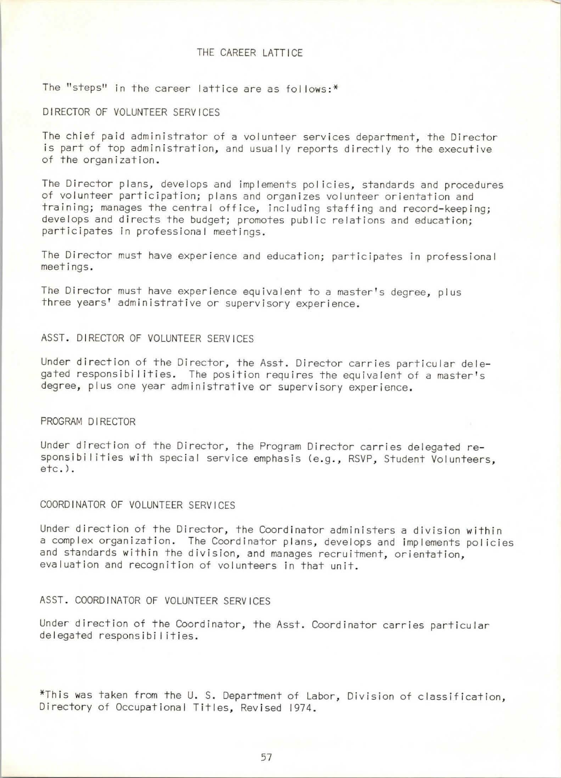### THE CAREER LATTICE

The "steps" in the career lattice are as follows:  $*$ 

#### DIRECTOR OF VOLUNTEER SERVICES

The chief paid administrator of a volunteer services department, the Director is part of top administration, and usually reports directly to the executive of the organization.

The Director plans, develops and implements policies, standards and procedures of volunteer participation; plans and organizes volunteer orientation and training; manages the central office, including staffing and record-keeping; develops and directs the budget; promotes public relations and education; participates in professional meetings.

The Director must have experience and education; participates in professional meetings.

The Director must have experience equivalent to a master's degree, plus three years' administrative or supervisory experience.

# ASST. DIRECTOR OF VOLUNTEER SERVICES

Under direction of the Director, the Asst. Director carries particular delegated responsibilities. The position requires the equivalent of a master's degree, plus one year administrative or supervisory experience.

#### PROGRAM DIRECTOR

Under direction of the Director, the Program Director carries delegated responsibilities with special service emphasis (e.g., RSVP, Student Volunteers, etc.).

### COORDINATOR OF VOLUNTEER SERVICES

Under direction of the Director, the Coordinator administers a division within a complex organization. The Coordinator plans, develops and implements policies and standards within the division, and manages recruitment, orientation, evaluation and recognition of volunteers in that unit.

#### ASST. COORDINATOR OF VOLUNTEER SERVICES

Under direction of the Coordinator, the Asst. Coordinator carries particular delegated responsibi I ities.

\*This was taken from the U.S. Department of Labor, Division of classification, Directory of Occupational Titles, Revised 1974.